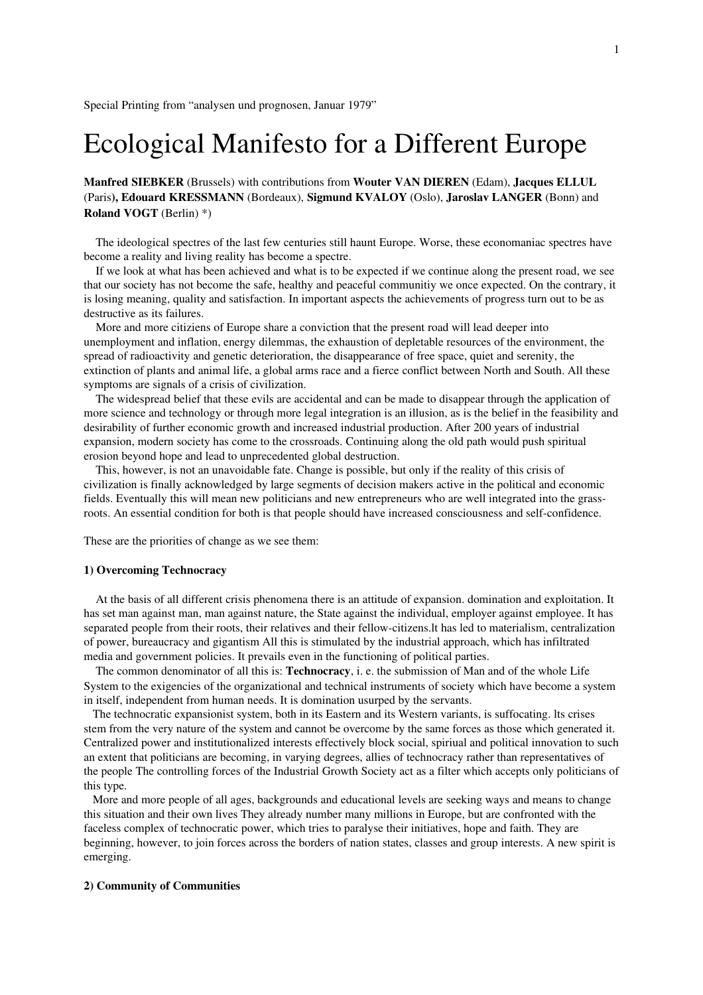# Ecological Manifesto for a Different Europe

Manfred SIEBKER (Brussels) with contributions from Wouter VAN DIEREN (Edam), Jacques ELLUL (Paris), Edouard KRESSMANN (Bordeaux), Sigmund KVALOY (Oslo), Jaroslav LANGER (Bonn) and Roland VOGT (Berlin) \*)

 The ideological spectres of the last few centuries still haunt Europe. Worse, these economaniac spectres have become a reality and living reality has become a spectre.

 If we look at what has been achieved and what is to be expected if we continue along the present road, we see that our society has not become the safe, healthy and peaceful communitiy we once expected. On the contrary, it is losing meaning, quality and satisfaction. In important aspects the achievements of progress turn out to be as destructive as its failures.

 More and more citiziens of Europe share a conviction that the present road will lead deeper into unemployment and inflation, energy dilemmas, the exhaustion of depletable resources of the environment, the spread of radioactivity and genetic deterioration, the disappearance of free space, quiet and serenity, the extinction of plants and animal life, a global arms race and a fierce conflict between North and South. All these symptoms are signals of a crisis of civilization.

 The widespread belief that these evils are accidental and can be made to disappear through the application of more science and technology or through more legal integration is an illusion, as is the belief in the feasibility and desirability of further economic growth and increased industrial production. After 200 years of industrial expansion, modern society has come to the crossroads. Continuing along the old path would push spiritual erosion beyond hope and lead to unprecedented global destruction.

 This, however, is not an unavoidable fate. Change is possible, but only if the reality of this crisis of civilization is finally acknowledged by large segments of decision makers active in the political and economic fields. Eventually this will mean new politicians and new entrepreneurs who are well integrated into the grassroots. An essential condition for both is that people should have increased consciousness and self-confidence.

These are the priorities of change as we see them:

#### 1) Overcoming Technocracy

 At the basis of all different crisis phenomena there is an attitude of expansion. domination and exploitation. It has set man against man, man against nature, the State against the individual, employer against employee. It has separated people from their roots, their relatives and their fellow-citizens. It has led to materialism, centralization of power, bureaucracy and gigantism All this is stimulated by the industrial approach, which has infiltrated media and government policies. It prevails even in the functioning of political parties.

The common denominator of all this is: **Technocracy**, i. e. the submission of Man and of the whole Life System to the exigencies of the organizational and technical instruments of society which have become a system in itself, independent from human needs. It is domination usurped by the servants.

 The technocratic expansionist system, both in its Eastern and its Western variants, is suffocating. lts crises stem from the very nature of the system and cannot be overcome by the same forces as those which generated it. Centralized power and institutionalized interests effectively block social, spiriual and political innovation to such an extent that politicians are becoming, in varying degrees, allies of technocracy rather than representatives of the people The controlling forces of the Industrial Growth Society act as a filter which accepts only politicians of this type.

 More and more people of all ages, backgrounds and educational levels are seeking ways and means to change this situation and their own lives They already number many millions in Europe, but are confronted with the faceless complex of technocratic power, which tries to paralyse their initiatives, hope and faith. They are beginning, however, to join forces across the borders of nation states, classes and group interests. A new spirit is emerging.

## 2) Community of Communities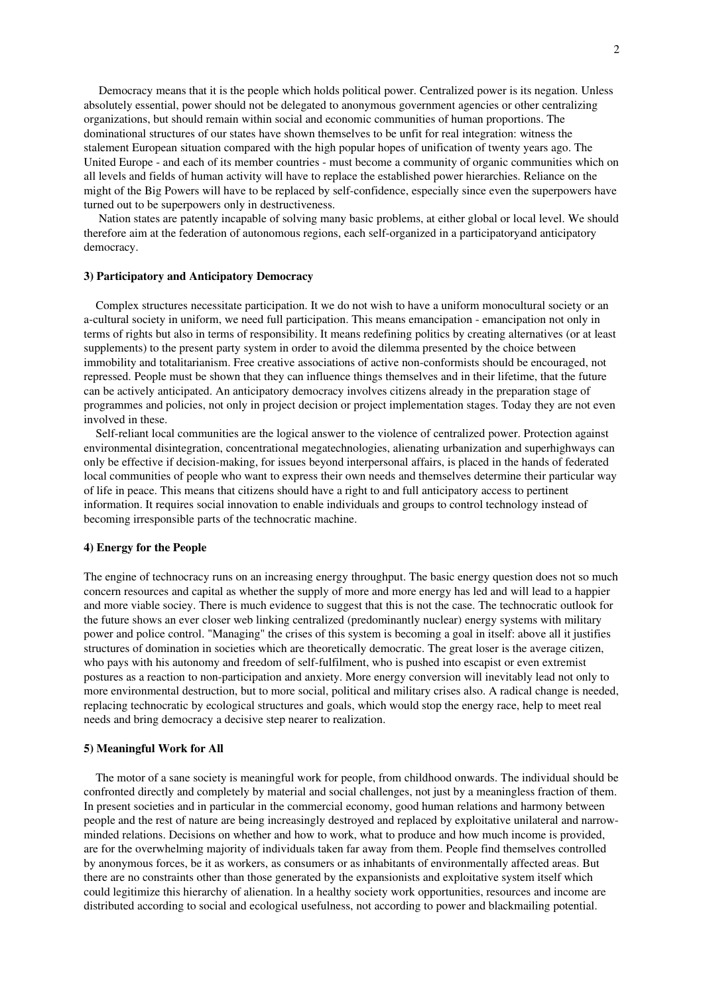Democracy means that it is the people which holds political power. Centralized power is its negation. Unless absolutely essential, power should not be delegated to anonymous government agencies or other centralizing organizations, but should remain within social and economic communities of human proportions. The dominational structures of our states have shown themselves to be unfit for real integration: witness the stalement European situation compared with the high popular hopes of unification of twenty years ago. The United Europe - and each of its member countries - must become a community of organic communities which on all levels and fields of human activity will have to replace the established power hierarchies. Reliance on the might of the Big Powers will have to be replaced by self-confidence, especially since even the superpowers have turned out to be superpowers only in destructiveness.

 Nation states are patently incapable of solving many basic problems, at either global or local level. We should therefore aim at the federation of autonomous regions, each self-organized in a participatoryand anticipatory democracy.

#### 3) Participatory and Anticipatory Democracy

 Complex structures necessitate participation. It we do not wish to have a uniform monocultural society or an a-cultural society in uniform, we need full participation. This means emancipation - emancipation not only in terms of rights but also in terms of responsibility. It means redefining politics by creating alternatives (or at least supplements) to the present party system in order to avoid the dilemma presented by the choice between immobility and totalitarianism. Free creative associations of active non-conformists should be encouraged, not repressed. People must be shown that they can influence things themselves and in their lifetime, that the future can be actively anticipated. An anticipatory democracy involves citizens already in the preparation stage of programmes and policies, not only in project decision or project implementation stages. Today they are not even involved in these.

Self-reliant local communities are the logical answer to the violence of centralized power. Protection against environmental disintegration, concentrational megatechnologies, alienating urbanization and superhighways can only be effective if decision-making, for issues beyond interpersonal affairs, is placed in the hands of federated local communities of people who want to express their own needs and themselves determine their particular way of life in peace. This means that citizens should have a right to and full anticipatory access to pertinent information. It requires social innovation to enable individuals and groups to control technology instead of becoming irresponsible parts of the technocratic machine.

## 4) Energy for the People

The engine of technocracy runs on an increasing energy throughput. The basic energy question does not so much concern resources and capital as whether the supply of more and more energy has led and will lead to a happier and more viable sociey. There is much evidence to suggest that this is not the case. The technocratic outlook for the future shows an ever closer web linking centralized (predominantly nuclear) energy systems with military power and police control. "Managing" the crises of this system is becoming a goal in itself: above all it justifies structures of domination in societies which are theoretically democratic. The great loser is the average citizen, who pays with his autonomy and freedom of self-fulfilment, who is pushed into escapist or even extremist postures as a reaction to non-participation and anxiety. More energy conversion will inevitably lead not only to more environmental destruction, but to more social, political and military crises also. A radical change is needed, replacing technocratic by ecological structures and goals, which would stop the energy race, help to meet real needs and bring democracy a decisive step nearer to realization.

#### 5) Meaningful Work for All

 The motor of a sane society is meaningful work for people, from childhood onwards. The individual should be confronted directly and completely by material and social challenges, not just by a meaningless fraction of them. In present societies and in particular in the commercial economy, good human relations and harmony between people and the rest of nature are being increasingly destroyed and replaced by exploitative unilateral and narrowminded relations. Decisions on whether and how to work, what to produce and how much income is provided, are for the overwhelming majority of individuals taken far away from them. People find themselves controlled by anonymous forces, be it as workers, as consumers or as inhabitants of environmentally affected areas. But there are no constraints other than those generated by the expansionists and exploitative system itself which could legitimize this hierarchy of alienation. ln a healthy society work opportunities, resources and income are distributed according to social and ecological usefulness, not according to power and blackmailing potential.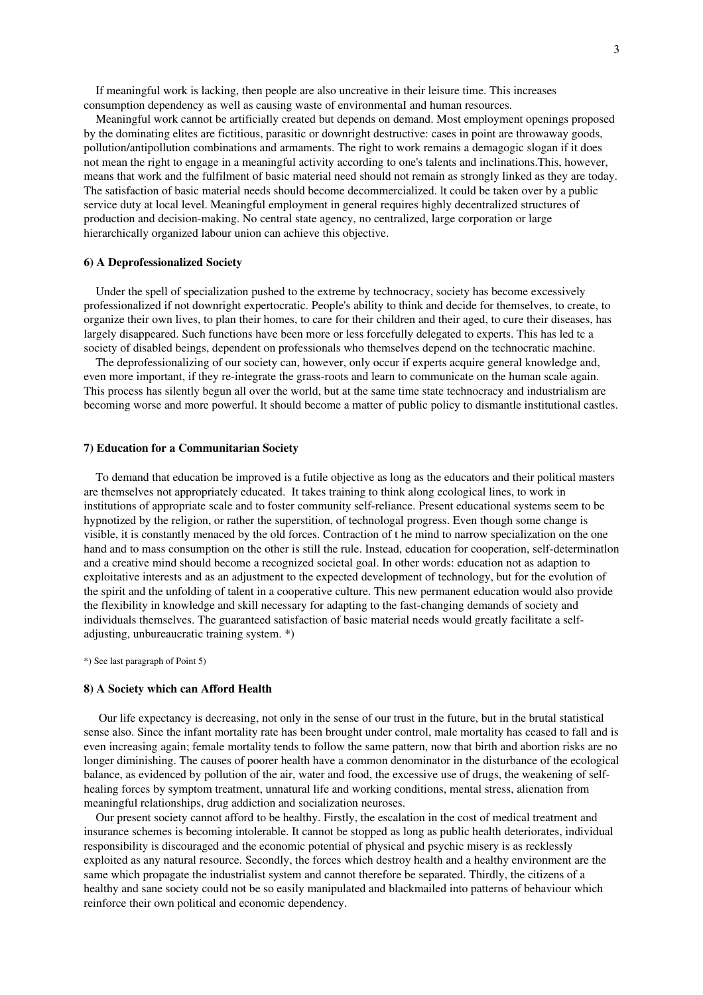If meaningful work is lacking, then people are also uncreative in their leisure time. This increases consumption dependency as well as causing waste of environmentaI and human resources.

 Meaningful work cannot be artificially created but depends on demand. Most employment openings proposed by the dominating elites are fictitious, parasitic or downright destructive: cases in point are throwaway goods, pollution/antipollution combinations and armaments. The right to work remains a demagogic slogan if it does not mean the right to engage in a meaningful activity according to one's talents and inclinations.This, however, means that work and the fulfilment of basic material need should not remain as strongly linked as they are today. The satisfaction of basic material needs should become decommercialized. lt could be taken over by a public service duty at local level. Meaningful employment in general requires highly decentralized structures of production and decision-making. No central state agency, no centralized, large corporation or large hierarchically organized labour union can achieve this objective.

#### 6) A Deprofessionalized Society

 Under the spell of specialization pushed to the extreme by technocracy, society has become excessively professionalized if not downright expertocratic. People's ability to think and decide for themselves, to create, to organize their own lives, to plan their homes, to care for their children and their aged, to cure their diseases, has largely disappeared. Such functions have been more or less forcefully delegated to experts. This has led tc a society of disabled beings, dependent on professionals who themselves depend on the technocratic machine.

 The deprofessionalizing of our society can, however, only occur if experts acquire general knowledge and, even more important, if they re-integrate the grass-roots and learn to communicate on the human scale again. This process has silently begun all over the world, but at the same time state technocracy and industrialism are becoming worse and more powerful. lt should become a matter of public policy to dismantle institutional castles.

## 7) Education for a Communitarian Society

 To demand that education be improved is a futile objective as long as the educators and their political masters are themselves not appropriately educated. It takes training to think along ecological lines, to work in institutions of appropriate scale and to foster community self-reliance. Present educational systems seem to be hypnotized by the religion, or rather the superstition, of technologal progress. Even though some change is visible, it is constantly menaced by the old forces. Contraction of t he mind to narrow specialization on the one hand and to mass consumption on the other is still the rule. Instead, education for cooperation, self-determinatlon and a creative mind should become a recognized societal goal. In other words: education not as adaption to exploitative interests and as an adjustment to the expected development of technology, but for the evolution of the spirit and the unfolding of talent in a cooperative culture. This new permanent education would also provide the flexibility in knowledge and skill necessary for adapting to the fast-changing demands of society and individuals themselves. The guaranteed satisfaction of basic material needs would greatly facilitate a selfadjusting, unbureaucratic training system. \*)

\*) See last paragraph of Point 5)

#### 8) A Society which can Afford Health

 Our life expectancy is decreasing, not only in the sense of our trust in the future, but in the brutal statistical sense also. Since the infant mortality rate has been brought under control, male mortality has ceased to fall and is even increasing again; female mortality tends to follow the same pattern, now that birth and abortion risks are no longer diminishing. The causes of poorer health have a common denominator in the disturbance of the ecological balance, as evidenced by pollution of the air, water and food, the excessive use of drugs, the weakening of selfhealing forces by symptom treatment, unnatural life and working conditions, mental stress, alienation from meaningful relationships, drug addiction and socialization neuroses.

 Our present society cannot afford to be healthy. Firstly, the escalation in the cost of medical treatment and insurance schemes is becoming intolerable. It cannot be stopped as long as public health deteriorates, individual responsibility is discouraged and the economic potential of physical and psychic misery is as recklessly exploited as any natural resource. Secondly, the forces which destroy health and a healthy environment are the same which propagate the industrialist system and cannot therefore be separated. Thirdly, the citizens of a healthy and sane society could not be so easily manipulated and blackmailed into patterns of behaviour which reinforce their own political and economic dependency.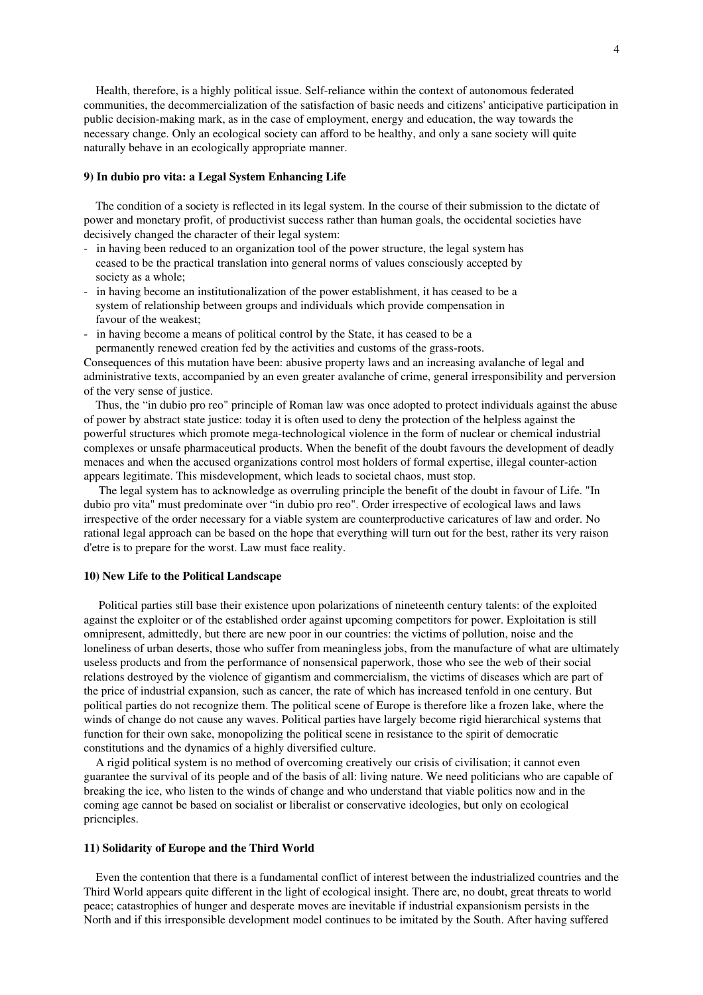Health, therefore, is a highly political issue. Selfreliance within the context of autonomous federated communities, the decommercialization of the satisfaction of basic needs and citizens' anticipative participation in public decision-making mark, as in the case of employment, energy and education, the way towards the necessary change. Only an ecological society can afford to be healthy, and only a sane society will quite naturally behave in an ecologically appropriate manner.

## 9) In dubio pro vita: a Legal System Enhancing Life

 The condition of a society is reflected in its legal system. In the course of their submission to the dictate of power and monetary profit, of productivist success rather than human goals, the occidental societies have decisively changed the character of their legal system:

- in having been reduced to an organization tool of the power structure, the legal system has ceased to be the practical translation into general norms of values consciously accepted by society as a whole;
- in having become an institutionalization of the power establishment, it has ceased to be a system of relationship between groups and individuals which provide compensation in favour of the weakest;
- in having become a means of political control by the State, it has ceased to be a

permanently renewed creation fed by the activities and customs of the grass-roots. Consequences of this mutation have been: abusive property laws and an increasing avalanche of legal and administrative texts, accompanied by an even greater avalanche of crime, general irresponsibility and perversion of the very sense of justice.

 Thus, the "in dubio pro reo" principle of Roman law was once adopted to protect individuals against the abuse of power by abstract state justice: today it is often used to deny the protection of the helpless against the powerful structures which promote mega-technological violence in the form of nuclear or chemical industrial complexes or unsafe pharmaceutical products. When the benefit of the doubt favours the development of deadly menaces and when the accused organizations control most holders of formal expertise, illegal counter-action appears legitimate. This misdevelopment, which leads to societal chaos, must stop.

 The legal system has to acknowledge as overruling principle the benefit of the doubt in favour of Life. "In dubio pro vita" must predominate over "in dubio pro reo". Order irrespective of ecological laws and laws irrespective of the order necessary for a viable system are counterproductive caricatures of law and order. No rational legal approach can be based on the hope that everything will turn out for the best, rather its very raison d'etre is to prepare for the worst. Law must face reality.

### 10) New Life to the Political Landscape

 Political parties still base their existence upon polarizations of nineteenth century talents: of the exploited against the exploiter or of the established order against upcoming competitors for power. Exploitation is still omnipresent, admittedly, but there are new poor in our countries: the victims of pollution, noise and the loneliness of urban deserts, those who suffer from meaningless jobs, from the manufacture of what are ultimately useless products and from the performance of nonsensical paperwork, those who see the web of their social relations destroyed by the violence of gigantism and commercialism, the victims of diseases which are part of the price of industrial expansion, such as cancer, the rate of which has increased tenfold in one century. But political parties do not recognize them. The political scene of Europe is therefore like a frozen lake, where the winds of change do not cause any waves. Political parties have largely become rigid hierarchical systems that function for their own sake, monopolizing the political scene in resistance to the spirit of democratic constitutions and the dynamics of a highly diversified culture.

 A rigid political system is no method of overcoming creatively our crisis of civilisation; it cannot even guarantee the survival of its people and of the basis of all: living nature. We need politicians who are capable of breaking the ice, who listen to the winds of change and who understand that viable politics now and in the coming age cannot be based on socialist or liberalist or conservative ideologies, but only on ecological pricnciples.

### 11) Solidarity of Europe and the Third World

 Even the contention that there is a fundamental conflict of interest between the industrialized countries and the Third World appears quite different in the light of ecological insight. There are, no doubt, great threats to world peace; catastrophies of hunger and desperate moves are inevitable if industrial expansionism persists in the North and if this irresponsible development model continues to be imitated by the South. After having suffered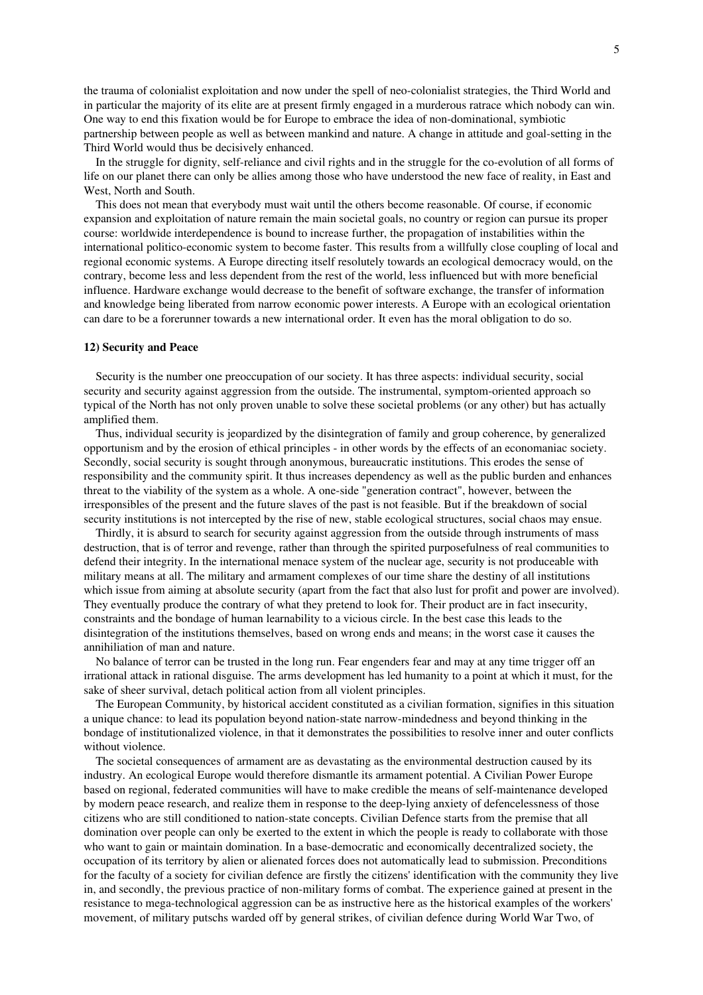the trauma of colonialist exploitation and now under the spell of neocolonialist strategies, the Third World and in particular the majority of its elite are at present firmly engaged in a murderous ratrace which nobody can win. One way to end this fixation would be for Europe to embrace the idea of non-dominational, symbiotic partnership between people as well as between mankind and nature. A change in attitude and goalsetting in the Third World would thus be decisively enhanced.

In the struggle for dignity, self-reliance and civil rights and in the struggle for the co-evolution of all forms of life on our planet there can only be allies among those who have understood the new face of reality, in East and West, North and South.

 This does not mean that everybody must wait until the others become reasonable. Of course, if economic expansion and exploitation of nature remain the main societal goals, no country or region can pursue its proper course: worldwide interdependence is bound to increase further, the propagation of instabilities within the international politico-economic system to become faster. This results from a willfully close coupling of local and regional economic systems. A Europe directing itself resolutely towards an ecological democracy would, on the contrary, become less and less dependent from the rest of the world, less influenced but with more beneficial influence. Hardware exchange would decrease to the benefit of software exchange, the transfer of information and knowledge being liberated from narrow economic power interests. A Europe with an ecological orientation can dare to be a forerunner towards a new international order. It even has the moral obligation to do so.

#### 12) Security and Peace

 Security is the number one preoccupation of our society. It has three aspects: individual security, social security and security against aggression from the outside. The instrumental, symptom-oriented approach so typical of the North has not only proven unable to solve these societal problems (or any other) but has actually amplified them.

 Thus, individual security is jeopardized by the disintegration of family and group coherence, by generalized opportunism and by the erosion of ethical principles in other words by the effects of an economaniac society. Secondly, social security is sought through anonymous, bureaucratic institutions. This erodes the sense of responsibility and the community spirit. It thus increases dependency as well as the public burden and enhances threat to the viability of the system as a whole. A oneside "generation contract", however, between the irresponsibles of the present and the future slaves of the past is not feasible. But if the breakdown of social security institutions is not intercepted by the rise of new, stable ecological structures, social chaos may ensue.

 Thirdly, it is absurd to search for security against aggression from the outside through instruments of mass destruction, that is of terror and revenge, rather than through the spirited purposefulness of real communities to defend their integrity. In the international menace system of the nuclear age, security is not produceable with military means at all. The military and armament complexes of our time share the destiny of all institutions which issue from aiming at absolute security (apart from the fact that also lust for profit and power are involved). They eventually produce the contrary of what they pretend to look for. Their product are in fact insecurity, constraints and the bondage of human learnability to a vicious circle. In the best case this leads to the disintegration of the institutions themselves, based on wrong ends and means; in the worst case it causes the annihiliation of man and nature.

 No balance of terror can be trusted in the long run. Fear engenders fear and may at any time trigger off an irrational attack in rational disguise. The arms development has led humanity to a point at which it must, for the sake of sheer survival, detach political action from all violent principles.

 The European Community, by historical accident constituted as a civilian formation, signifies in this situation a unique chance: to lead its population beyond nation-state narrow-mindedness and beyond thinking in the bondage of institutionalized violence, in that it demonstrates the possibilities to resolve inner and outer conflicts without violence.

 The societal consequences of armament are as devastating as the environmental destruction caused by its industry. An ecological Europe would therefore dismantle its armament potential. A Civilian Power Europe based on regional, federated communities will have to make credible the means of self-maintenance developed by modern peace research, and realize them in response to the deeplying anxiety of defencelessness of those citizens who are still conditioned to nation-state concepts. Civilian Defence starts from the premise that all domination over people can only be exerted to the extent in which the people is ready to collaborate with those who want to gain or maintain domination. In a base-democratic and economically decentralized society, the occupation of its territory by alien or alienated forces does not automatically lead to submission. Preconditions for the faculty of a society for civilian defence are firstly the citizens' identification with the community they live in, and secondly, the previous practice of non-military forms of combat. The experience gained at present in the resistance to mega-technological aggression can be as instructive here as the historical examples of the workers' movement, of military putschs warded off by general strikes, of civilian defence during World War Two, of